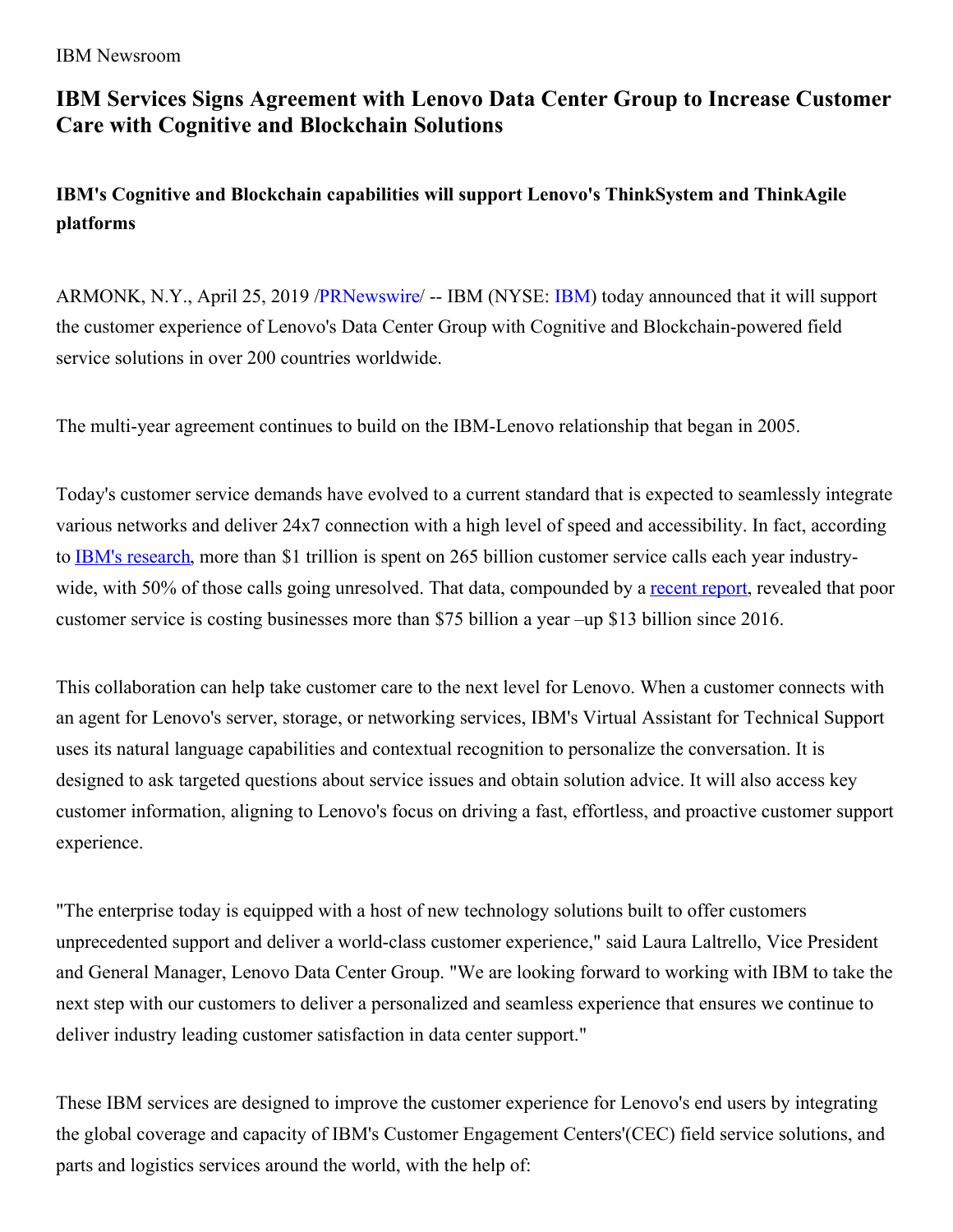IBM Newsroom

## **IBM Services Signs Agreement with Lenovo Data Center Group to Increase Customer Care with Cognitive and Blockchain Solutions**

**IBM's Cognitive and Blockchain capabilities will support Lenovo's ThinkSystem and ThinkAgile platforms**

ARMONK, N.Y., April 25, 2019 [/PRNewswire](http://www.prnewswire.com/)/ -- IBM (NYSE: [IBM](https://c212.net/c/link/?t=0&l=en&o=2445448-1&h=3821323585&u=http%3A%2F%2Fwww.ibm.com%2Finvestor&a=IBM)) today announced that it will support the customer experience of Lenovo's Data Center Group with Cognitive and Blockchain-powered field service solutions in over 200 countries worldwide.

The multi-year agreement continues to build on the IBM-Lenovo relationship that began in 2005.

Today's customer service demands have evolved to a current standard that is expected to seamlessly integrate various networks and deliver 24x7 connection with a high level of speed and accessibility. In fact, according to IBM's [research](https://c212.net/c/link/?t=0&l=en&o=2445448-1&h=2174512337&u=https%3A%2F%2Fwww.ibm.com%2Fblogs%2Fwatson%2F2017%2F10%2Fhow-chatbots-reduce-customer-service-costs-by-30-percent%2F&a=IBM%27s+research), more than \$1 trillion is spent on 265 billion customer service calls each year industrywide, with 50% of those calls going unresolved. That data, compounded by a [recent](https://c212.net/c/link/?t=0&l=en&o=2445448-1&h=2092966234&u=https%3A%2F%2Fwww.newvoicemedia.com%2Fen-us%2Fresources%2Fserial-switchers-swayed-by-sentiment-how-bad-emotive-customer-experiences-are-costing-brands-billions&a=recent+report) report, revealed that poor customer service is costing businesses more than \$75 billion a year –up \$13 billion since 2016.

This collaboration can help take customer care to the next level for Lenovo. When a customer connects with an agent for Lenovo's server, storage, or networking services, IBM's Virtual Assistant for Technical Support uses its natural language capabilities and contextual recognition to personalize the conversation. It is designed to ask targeted questions about service issues and obtain solution advice. It will also access key customer information, aligning to Lenovo's focus on driving a fast, effortless, and proactive customer support experience.

"The enterprise today is equipped with a host of new technology solutions built to offer customers unprecedented support and deliver a world-class customer experience," said Laura Laltrello, Vice President and General Manager, Lenovo Data Center Group. "We are looking forward to working with IBM to take the next step with our customers to deliver a personalized and seamless experience that ensures we continue to deliver industry leading customer satisfaction in data center support."

These IBM services are designed to improve the customer experience for Lenovo's end users by integrating the global coverage and capacity of IBM's Customer Engagement Centers'(CEC) field service solutions, and parts and logistics services around the world, with the help of: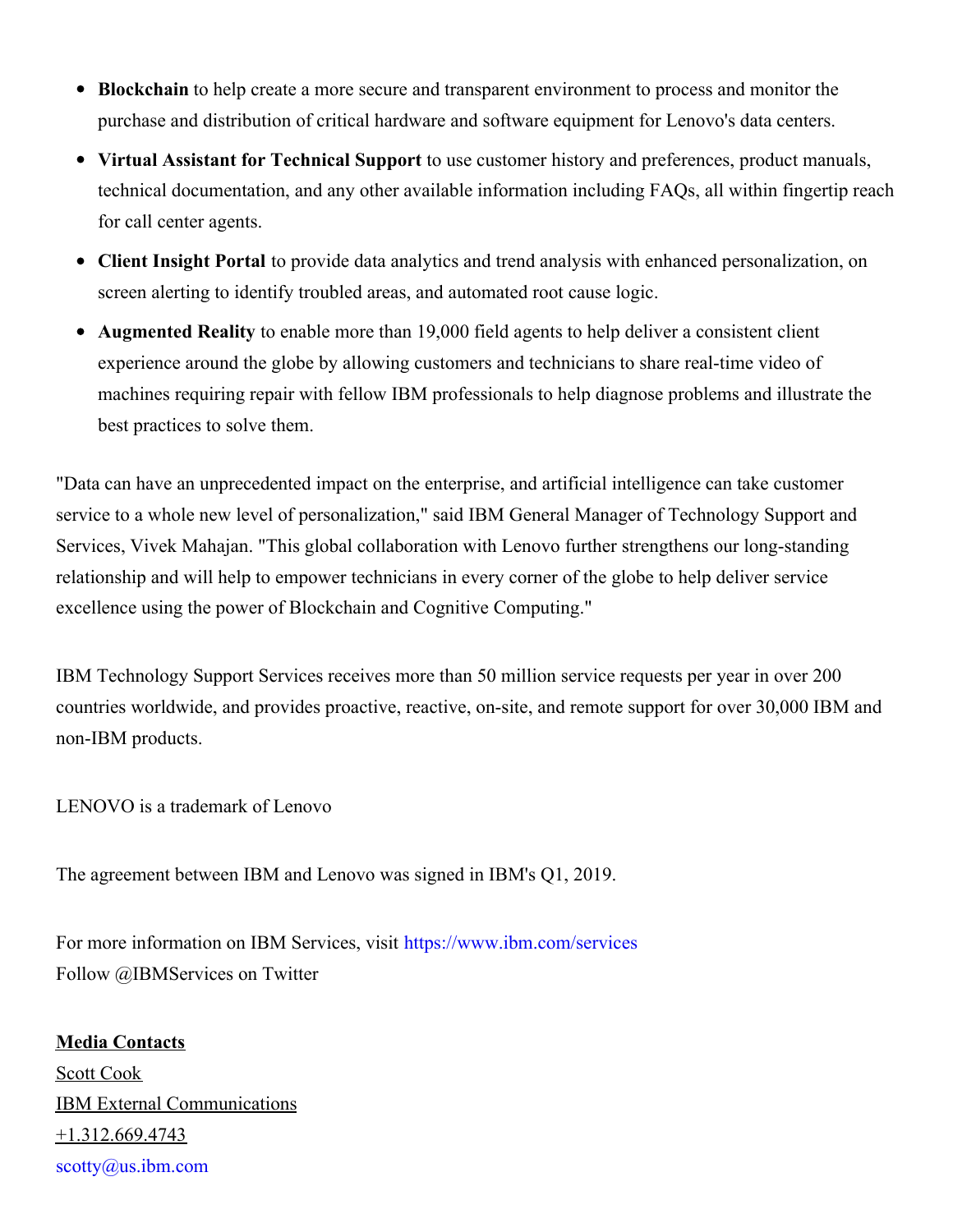- **Blockchain** to help create a more secure and transparent environment to process and monitor the purchase and distribution of critical hardware and software equipment for Lenovo's data centers.
- **Virtual Assistant for Technical Support** to use customer history and preferences, product manuals, technical documentation, and any other available information including FAQs, all within fingertip reach for call center agents.
- **Client Insight Portal** to provide data analytics and trend analysis with enhanced personalization, on screen alerting to identify troubled areas, and automated root cause logic.
- **Augmented Reality** to enable more than 19,000 field agents to help deliver a consistent client experience around the globe by allowing customers and technicians to share real-time video of machines requiring repair with fellow IBM professionals to help diagnose problems and illustrate the best practices to solve them.

"Data can have an unprecedented impact on the enterprise, and artificial intelligence can take customer service to a whole new level of personalization," said IBM General Manager of Technology Support and Services, Vivek Mahajan. "This global collaboration with Lenovo further strengthens our long-standing relationship and will help to empower technicians in every corner of the globe to help deliver service excellence using the power of Blockchain and Cognitive Computing."

IBM Technology Support Services receives more than 50 million service requests per year in over 200 countries worldwide, and provides proactive, reactive, on-site, and remote support for over 30,000 IBM and non-IBM products.

LENOVO is a trademark of Lenovo

The agreement between IBM and Lenovo was signed in IBM's Q1, 2019.

For more information on IBM Services, visit [https://www.ibm.com/services](https://c212.net/c/link/?t=0&l=en&o=2445448-1&h=3403270773&u=https%3A%2F%2Fwww.ibm.com%2Fservices&a=https%3A%2F%2Fwww.ibm.com%2Fservices) Follow @IBMServices on Twitter

**Media Contacts** Scott Cook IBM External Communications +1.312.669.4743 [scotty@us.ibm.com](mailto:scotty@us.ibm.com)